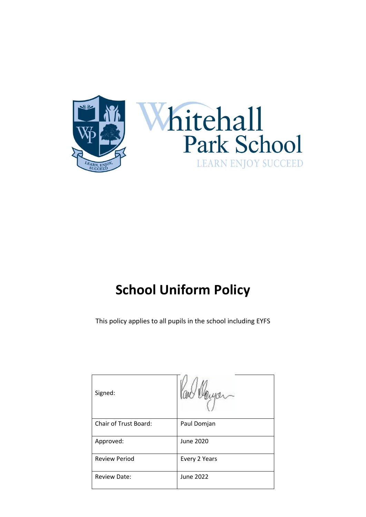



# **School Uniform Policy**

This policy applies to all pupils in the school including EYFS

| Signed:               |                  |
|-----------------------|------------------|
| Chair of Trust Board: | Paul Domjan      |
| Approved:             | <b>June 2020</b> |
| <b>Review Period</b>  | Every 2 Years    |
| <b>Review Date:</b>   | <b>June 2022</b> |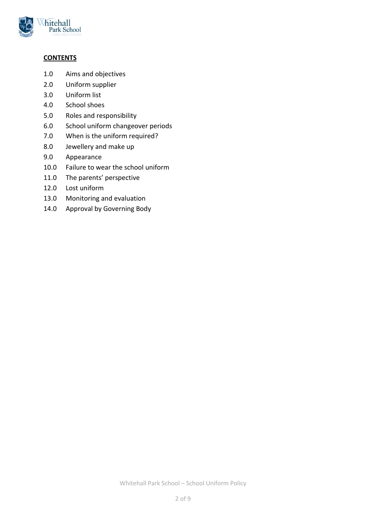

## **CONTENTS**

- 1.0 Aims and objectives
- 2.0 Uniform supplier
- 3.0 Uniform list
- 4.0 School shoes
- 5.0 Roles and responsibility
- 6.0 School uniform changeover periods
- 7.0 When is the uniform required?
- 8.0 Jewellery and make up
- 9.0 Appearance
- 10.0 Failure to wear the school uniform
- 11.0 The parents' perspective
- 12.0 Lost uniform
- 13.0 Monitoring and evaluation
- 14.0 Approval by Governing Body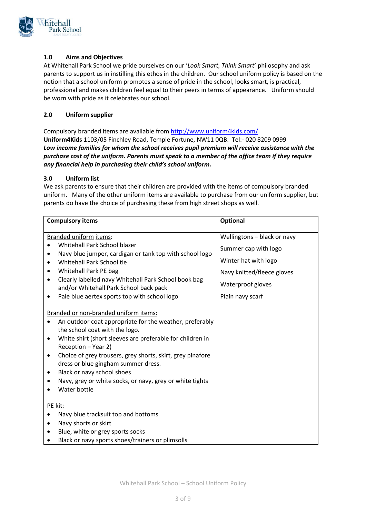

## **1.0 Aims and Objectives**

At Whitehall Park School we pride ourselves on our '*Look Smart, Think Smart*' philosophy and ask parents to support us in instilling this ethos in the children. Our school uniform policy is based on the notion that a school uniform promotes a sense of pride in the school, looks smart, is practical, professional and makes children feel equal to their peers in terms of appearance. Uniform should be worn with pride as it celebrates our school.

#### **2.0 Uniform supplier**

Compulsory branded items are available fro[m http://www.uniform4kids.com/](http://www.uniform4kids.com/) **Uniform4Kids** 1103/05 Finchley Road, Temple Fortune, NW11 0QB. Tel:- 020 8209 0999 *Low income families for whom the school receives pupil [premium](https://www.gov.uk/pupil-premium-information-for-schools-and-alternative-provision-settings#funding-for-2015-to-2016) will receive assistance with the purchase cost of the uniform. Parents must speak to a member of the office team if they require any financial help in purchasing their child's school uniform.* 

## **3.0 Uniform list**

We ask parents to ensure that their children are provided with the items of compulsory branded uniform. Many of the other uniform items are available to purchase from our uniform supplier, but parents do have the choice of purchasing these from high street shops as well.

| <b>Compulsory items</b>                                                                                                                                                                                                                                                                                                                                                                                                                                                           | <b>Optional</b>                                                                                                                                    |
|-----------------------------------------------------------------------------------------------------------------------------------------------------------------------------------------------------------------------------------------------------------------------------------------------------------------------------------------------------------------------------------------------------------------------------------------------------------------------------------|----------------------------------------------------------------------------------------------------------------------------------------------------|
| Branded uniform items:<br>Whitehall Park School blazer<br>Navy blue jumper, cardigan or tank top with school logo<br>٠<br>Whitehall Park School tie<br>$\bullet$<br>Whitehall Park PE bag<br>$\bullet$<br>Clearly labelled navy Whitehall Park School book bag<br>$\bullet$<br>and/or Whitehall Park School back pack<br>Pale blue aertex sports top with school logo                                                                                                             | Wellingtons - black or navy<br>Summer cap with logo<br>Winter hat with logo<br>Navy knitted/fleece gloves<br>Waterproof gloves<br>Plain navy scarf |
| Branded or non-branded uniform items:<br>An outdoor coat appropriate for the weather, preferably<br>the school coat with the logo.<br>White shirt (short sleeves are preferable for children in<br>$\bullet$<br>Reception - Year 2)<br>Choice of grey trousers, grey shorts, skirt, grey pinafore<br>$\bullet$<br>dress or blue gingham summer dress.<br>Black or navy school shoes<br>$\bullet$<br>Navy, grey or white socks, or navy, grey or white tights<br>٠<br>Water bottle |                                                                                                                                                    |
| PE kit:<br>Navy blue tracksuit top and bottoms<br>$\bullet$<br>Navy shorts or skirt<br>$\bullet$<br>Blue, white or grey sports socks<br>٠<br>Black or navy sports shoes/trainers or plimsolls<br>٠                                                                                                                                                                                                                                                                                |                                                                                                                                                    |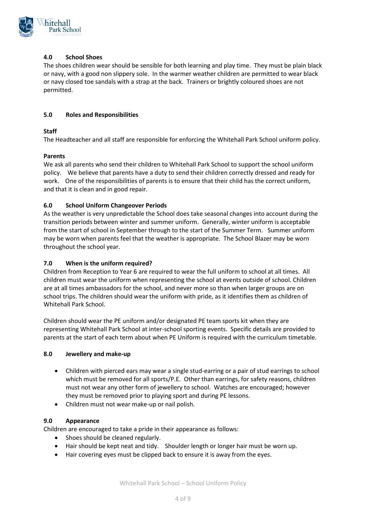

## **4.0 School Shoes**

The shoes children wear should be sensible for both learning and play time. They must be plain black or navy, with a good non slippery sole. In the warmer weather children are permitted to wear black or navy closed toe sandals with a strap at the back. Trainers or brightly coloured shoes are not permitted.

## **5.0 Roles and Responsibilities**

## **Staff**

The Headteacher and all staff are responsible for enforcing the Whitehall Park School uniform policy.

## **Parents**

We ask all parents who send their children to Whitehall Park School to support the school uniform policy. We believe that parents have a duty to send their children correctly dressed and ready for work. One of the responsibilities of parents is to ensure that their child has the correct uniform, and that it is clean and in good repair.

## **6.0 School Uniform Changeover Periods**

As the weather is very unpredictable the School does take seasonal changes into account during the transition periods between winter and summer uniform. Generally, winter uniform is acceptable from the start of school in September through to the start of the Summer Term. Summer uniform may be worn when parents feel that the weather is appropriate. The School Blazer may be worn throughout the school year.

## **7.0 When is the uniform required?**

Children from Reception to Year 6 are required to wear the full uniform to school at all times. All children must wear the uniform when representing the school at events outside of school. Children are at all times ambassadors for the school, and never more so than when larger groups are on school trips. The children should wear the uniform with pride, as it identifies them as children of Whitehall Park School.

Children should wear the PE uniform and/or designated PE team sports kit when they are representing Whitehall Park School at inter-school sporting events. Specific details are provided to parents at the start of each term about when PE Uniform is required with the curriculum timetable.

#### **8.0 Jewellery and make-up**

- Children with pierced ears may wear a single stud-earring or a pair of stud earrings to school which must be removed for all sports/P.E. Other than earrings, for safety reasons, children must not wear any other form of jewellery to school. Watches are encouraged; however they must be removed prior to playing sport and during PE lessons.
- Children must not wear make-up or nail polish.

#### **9.0 Appearance**

Children are encouraged to take a pride in their appearance as follows:

- Shoes should be cleaned regularly.
	- Hair should be kept neat and tidy. Shoulder length or longer hair must be worn up.
	- Hair covering eyes must be clipped back to ensure it is away from the eyes.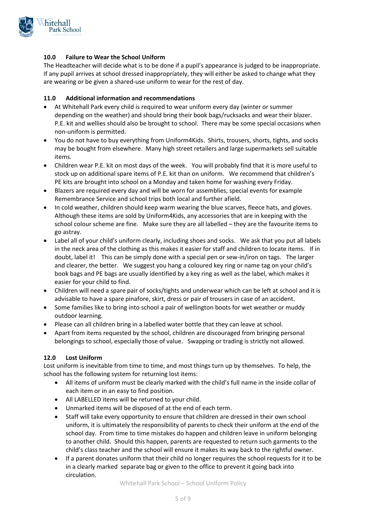

## **10.0 Failure to Wear the School Uniform**

The Headteacher will decide what is to be done if a pupil's appearance is judged to be inappropriate. If any pupil arrives at school dressed inappropriately, they will either be asked to change what they are wearing or be given a shared-use uniform to wear for the rest of day.

## **11.0 Additional information and recommendations**

- At Whitehall Park every child is required to wear uniform every day (winter or summer depending on the weather) and should bring their book bags/rucksacks and wear their blazer. P.E. kit and wellies should also be brought to school. There may be some special occasions when non-uniform is permitted.
- You do not have to buy everything from Uniform4Kids. Shirts, trousers, shorts, tights, and socks may be bought from elsewhere. Many high street retailers and large supermarkets sell suitable items.
- Children wear P.E. kit on most days of the week. You will probably find that it is more useful to stock up on additional spare items of P.E. kit than on uniform. We recommend that children's PE kits are brought into school on a Monday and taken home for washing every Friday.
- Blazers are required every day and will be worn for assemblies, special events for example Remembrance Service and school trips both local and further afield.
- In cold weather, children should keep warm wearing the blue scarves, fleece hats, and gloves. Although these items are sold by Uniform4Kids, any accessories that are in keeping with the school colour scheme are fine. Make sure they are all labelled – they are the favourite items to go astray.
- Label all of your child's uniform clearly, including shoes and socks. We ask that you put all labels in the neck area of the clothing as this makes it easier for staff and children to locate items. If in doubt, label it! This can be simply done with a special pen or sew-in/iron on tags. The larger and clearer, the better. We suggest you hang a coloured key ring or name tag on your child's book bags and PE bags are usually identified by a key ring as well as the label, which makes it easier for your child to find.
- Children will need a spare pair of socks/tights and underwear which can be left at school and it is advisable to have a spare pinafore, skirt, dress or pair of trousers in case of an accident.
- Some families like to bring into school a pair of wellington boots for wet weather or muddy outdoor learning.
- Please can all children bring in a labelled water bottle that they can leave at school.
- Apart from items requested by the school, children are discouraged from bringing personal belongings to school, especially those of value. Swapping or trading is strictly not allowed.

#### **12.0 Lost Uniform**

Lost uniform is inevitable from time to time, and most things turn up by themselves. To help, the school has the following system for returning lost items:

- All items of uniform must be clearly marked with the child's full name in the inside collar of each item or in an easy to find position.
- All LABELLED items will be returned to your child.
- Unmarked items will be disposed of at the end of each term.
- Staff will take every opportunity to ensure that children are dressed in their own school uniform, it is ultimately the responsibility of parents to check their uniform at the end of the school day. From time to time mistakes do happen and children leave in uniform belonging to another child. Should this happen, parents are requested to return such garments to the child's class teacher and the school will ensure it makes its way back to the rightful owner.
- If a parent donates uniform that their child no longer requires the school requests for it to be in a clearly marked separate bag or given to the office to prevent it going back into circulation.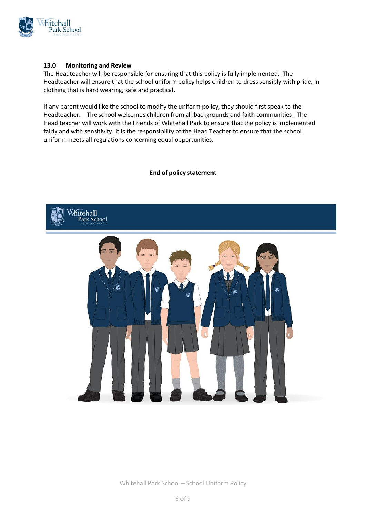

## **13.0 Monitoring and Review**

The Headteacher will be responsible for ensuring that this policy is fully implemented. The Headteacher will ensure that the school uniform policy helps children to dress sensibly with pride, in clothing that is hard wearing, safe and practical.

If any parent would like the school to modify the uniform policy, they should first speak to the Headteacher. The school welcomes children from all backgrounds and faith communities. The Head teacher will work with the Friends of Whitehall Park to ensure that the policy is implemented fairly and with sensitivity. It is the responsibility of the Head Teacher to ensure that the school uniform meets all regulations concerning equal opportunities.

#### **End of policy statement**



Whitehall Park School – School Uniform Policy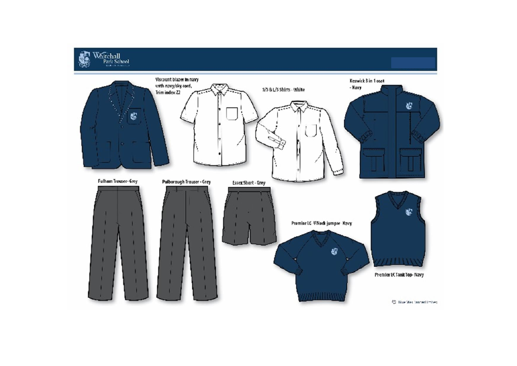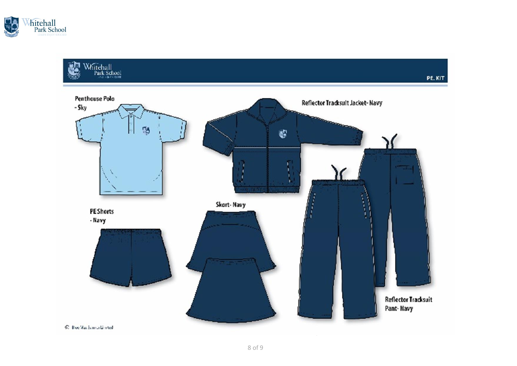



C. BucMackmartin tol